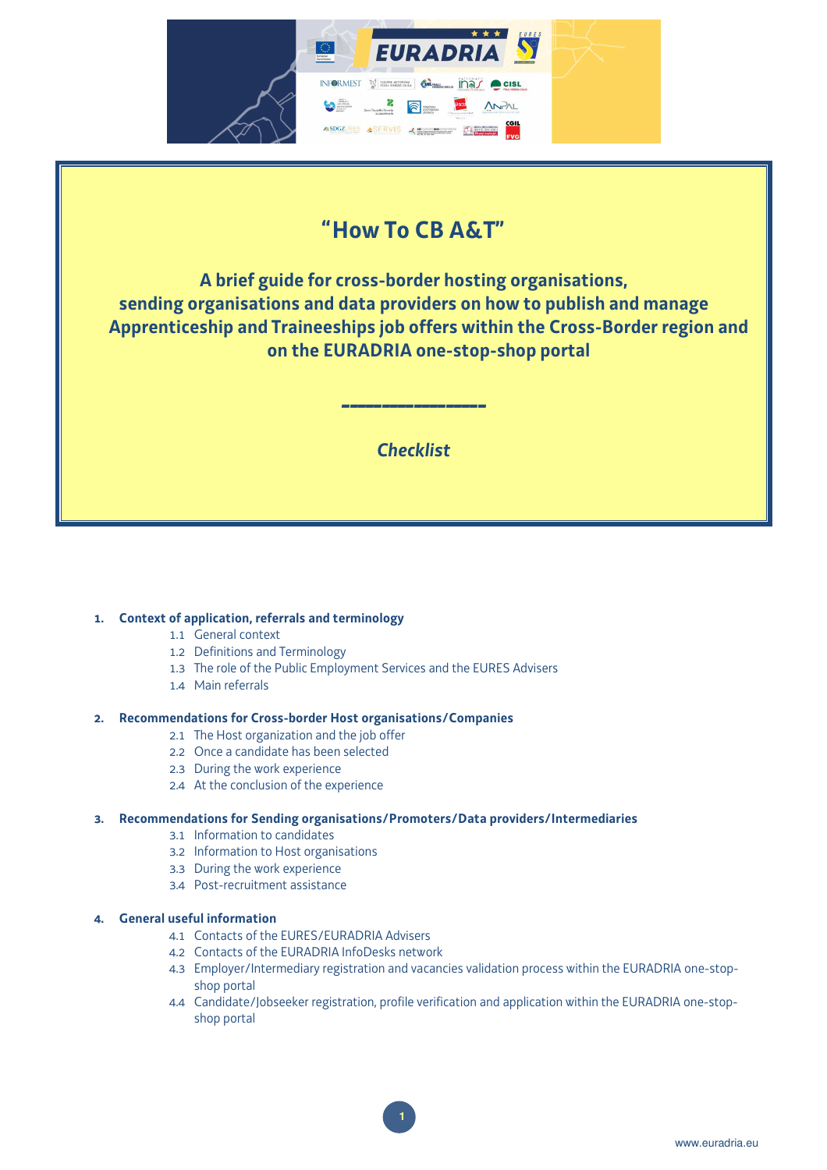

# **"How To CB A&T"**

**A brief guide for cross-border hosting organisations, sending organisations and data providers on how to publish and manage Apprenticeship and Traineeships job offers within the Cross-Border region and on the EURADRIA one-stop-shop portal** 

*Checklist* 

*------------------* 

### **1. Context of application, referrals and terminology**

- 1.1 General context
- 1.2 Definitions and Terminology
- 1.3 The role of the Public Employment Services and the EURES Advisers
- 1.4 Main referrals

### **2. Recommendations for Cross-border Host organisations/Companies**

- 2.1 The Host organization and the job offer
- 2.2 Once a candidate has been selected
- 2.3 During the work experience
- 2.4 At the conclusion of the experience

### **3. Recommendations for Sending organisations/Promoters/Data providers/Intermediaries**

- 3.1 Information to candidates
- 3.2 Information to Host organisations
- 3.3 During the work experience
- 3.4 Post-recruitment assistance

### **4. General useful information**

- 4.1 Contacts of the EURES/EURADRIA Advisers
- 4.2 Contacts of the EURADRIA InfoDesks network
- 4.3 Employer/Intermediary registration and vacancies validation process within the EURADRIA one-stopshop portal
- 4.4 Candidate/Jobseeker registration, profile verification and application within the EURADRIA one-stopshop portal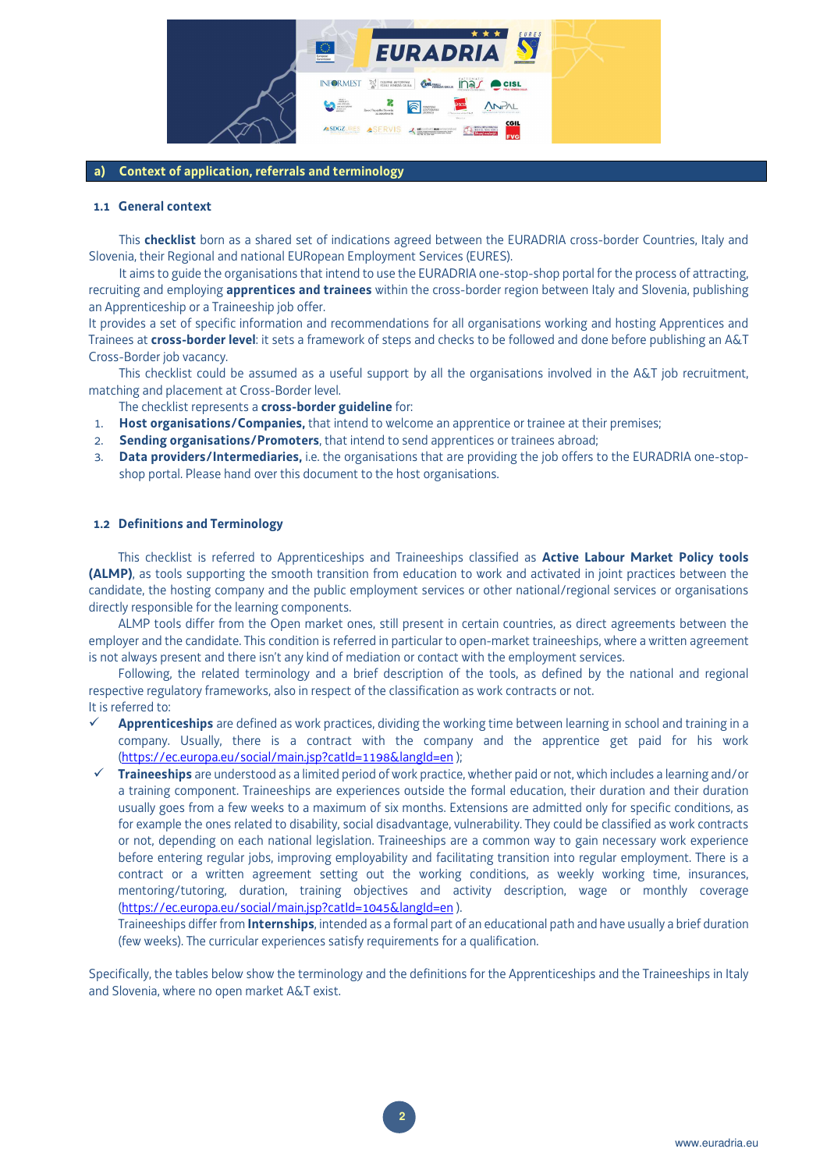

# **a) Context of application, referrals and terminology**

### **1.1 General context**

This **checklist** born as a shared set of indications agreed between the EURADRIA cross-border Countries, Italy and Slovenia, their Regional and national EURopean Employment Services (EURES).

It aims to guide the organisations that intend to use the EURADRIA one-stop-shop portal for the process of attracting, recruiting and employing **apprentices and trainees** within the cross-border region between Italy and Slovenia, publishing an Apprenticeship or a Traineeship job offer.

It provides a set of specific information and recommendations for all organisations working and hosting Apprentices and Trainees at **cross-border level**: it sets a framework of steps and checks to be followed and done before publishing an A&T Cross-Border job vacancy.

This checklist could be assumed as a useful support by all the organisations involved in the A&T job recruitment, matching and placement at Cross-Border level.

The checklist represents a **cross-border guideline** for:

- 1. **Host organisations/Companies,** that intend to welcome an apprentice or trainee at their premises;
- 2. **Sending organisations/Promoters**, that intend to send apprentices or trainees abroad;
- 3. **Data providers/Intermediaries,** i.e. the organisations that are providing the job offers to the EURADRIA one-stopshop portal. Please hand over this document to the host organisations.

### **1.2 Definitions and Terminology**

This checklist is referred to Apprenticeships and Traineeships classified as **Active Labour Market Policy tools (ALMP)**, as tools supporting the smooth transition from education to work and activated in joint practices between the candidate, the hosting company and the public employment services or other national/regional services or organisations directly responsible for the learning components.

ALMP tools differ from the Open market ones, still present in certain countries, as direct agreements between the employer and the candidate. This condition is referred in particular to open-market traineeships, where a written agreement is not always present and there isn't any kind of mediation or contact with the employment services.

Following, the related terminology and a brief description of the tools, as defined by the national and regional respective regulatory frameworks, also in respect of the classification as work contracts or not. It is referred to:

- **Apprenticeships** are defined as work practices, dividing the working time between learning in school and training in a company. Usually, there is a contract with the company and the apprentice get paid for his work (https://ec.europa.eu/social/main.jsp?catId=1198&langId=en);
- **Traineeships** are understood as a limited period of work practice, whether paid or not, which includes a learning and/or a training component. Traineeships are experiences outside the formal education, their duration and their duration usually goes from a few weeks to a maximum of six months. Extensions are admitted only for specific conditions, as for example the ones related to disability, social disadvantage, vulnerability. They could be classified as work contracts or not, depending on each national legislation. Traineeships are a common way to gain necessary work experience before entering regular jobs, improving employability and facilitating transition into regular employment. There is a contract or a written agreement setting out the working conditions, as weekly working time, insurances, mentoring/tutoring, duration, training objectives and activity description, wage or monthly coverage (https://ec.europa.eu/social/main.jsp?catId=1045&langId=en ).

Traineeships differ from **Internships**, intended as a formal part of an educational path and have usually a brief duration (few weeks). The curricular experiences satisfy requirements for a qualification.

Specifically, the tables below show the terminology and the definitions for the Apprenticeships and the Traineeships in Italy and Slovenia, where no open market A&T exist.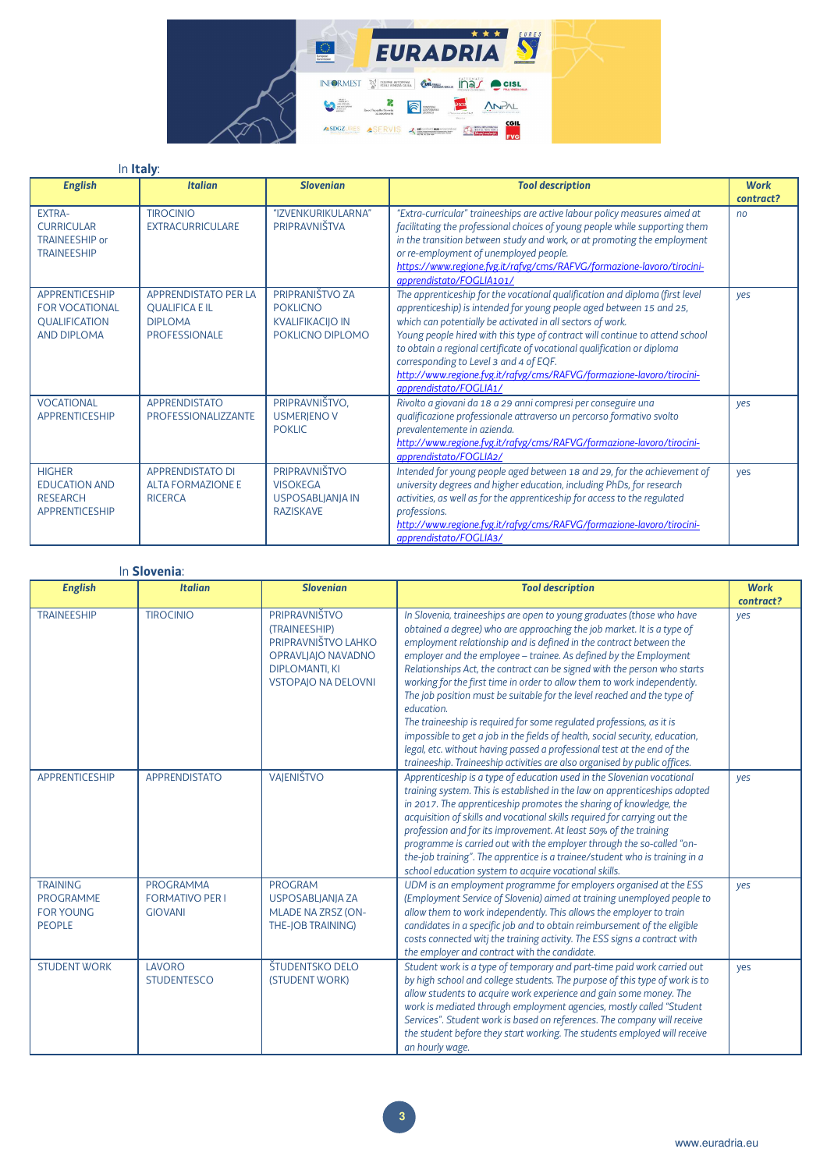

| In Italy:                                                                                    |                                                                                                |                                                                                   |                                                                                                                                                                                                                                                                                                                                                                                                                                                                                                                            |                          |
|----------------------------------------------------------------------------------------------|------------------------------------------------------------------------------------------------|-----------------------------------------------------------------------------------|----------------------------------------------------------------------------------------------------------------------------------------------------------------------------------------------------------------------------------------------------------------------------------------------------------------------------------------------------------------------------------------------------------------------------------------------------------------------------------------------------------------------------|--------------------------|
| <b>English</b>                                                                               | <b>Italian</b>                                                                                 | <b>Slovenian</b>                                                                  | <b>Tool description</b>                                                                                                                                                                                                                                                                                                                                                                                                                                                                                                    | <b>Work</b><br>contract? |
| <b>EXTRA-</b><br><b>CURRICULAR</b><br><b>TRAINEESHIP or</b><br><b>TRAINEESHIP</b>            | <b>TIROCINIO</b><br><b>EXTRACURRICULARE</b>                                                    | "IZVENKURIKULARNA"<br>PRIPRAVNIŠTVA                                               | "Extra-curricular" traineeships are active labour policy measures aimed at<br>facilitating the professional choices of young people while supporting them<br>in the transition between study and work, or at promoting the employment<br>or re-employment of unemployed people.<br>https://www.regione.fvg.it/rafvg/cms/RAFVG/formazione-lavoro/tirocini-<br>apprendistato/FOGLIA101/                                                                                                                                      | no                       |
| <b>APPRENTICESHIP</b><br><b>FOR VOCATIONAL</b><br><b>QUALIFICATION</b><br><b>AND DIPLOMA</b> | <b>APPRENDISTATO PER LA</b><br><b>OUALIFICA E IL</b><br><b>DIPLOMA</b><br><b>PROFESSIONALE</b> | PRIPRANIŠTVO ZA<br><b>POKLICNO</b><br><b>KVALIFIKACIJO IN</b><br>POKLICNO DIPLOMO | The apprenticeship for the vocational qualification and diploma (first level<br>apprenticeship) is intended for young people aged between 15 and 25,<br>which can potentially be activated in all sectors of work.<br>Young people hired with this type of contract will continue to attend school<br>to obtain a regional certificate of vocational qualification or diploma<br>corresponding to Level 3 and 4 of EQF.<br>http://www.regione.fvg.it/rafvg/cms/RAFVG/formazione-lavoro/tirocini-<br>apprendistato/FOGLIA1/ | ves                      |
| <b>VOCATIONAL</b><br><b>APPRENTICESHIP</b>                                                   | <b>APPRENDISTATO</b><br>PROFESSIONALIZZANTE                                                    | PRIPRAVNIŠTVO,<br><b>USMERJENO V</b><br><b>POKLIC</b>                             | Rivolto a giovani da 18 a 29 anni compresi per conseguire una<br>qualificazione professionale attraverso un percorso formativo svolto<br>prevalentemente in azienda.<br>http://www.regione.fvg.it/rafvg/cms/RAFVG/formazione-lavoro/tirocini-<br>apprendistato/FOGLIA2/                                                                                                                                                                                                                                                    | ves                      |
| <b>HIGHER</b><br><b>EDUCATION AND</b><br><b>RESEARCH</b><br><b>APPRENTICESHIP</b>            | <b>APPRENDISTATO DI</b><br><b>ALTA FORMAZIONE E</b><br><b>RICERCA</b>                          | PRIPRAVNIŠTVO<br><b>VISOKEGA</b><br><b>USPOSABLIANIA IN</b><br><b>RAZISKAVE</b>   | Intended for young people aged between 18 and 29, for the achievement of<br>university degrees and higher education, including PhDs, for research<br>activities, as well as for the apprenticeship for access to the regulated<br>professions.<br>http://www.regione.fvg.it/rafvg/cms/RAFVG/formazione-lavoro/tirocini-<br>apprendistato/FOGLIA3/                                                                                                                                                                          | ves                      |

# In **Slovenia**:

| <b>English</b>                                                           | <b>Italian</b>                                               | <b>Slovenian</b>                                                                                                                   | <b>Tool description</b>                                                                                                                                                                                                                                                                                                                                                                                                                                                                                                                                                                                                                                                                                                                                                                                                                                     | <b>Work</b><br>contract? |
|--------------------------------------------------------------------------|--------------------------------------------------------------|------------------------------------------------------------------------------------------------------------------------------------|-------------------------------------------------------------------------------------------------------------------------------------------------------------------------------------------------------------------------------------------------------------------------------------------------------------------------------------------------------------------------------------------------------------------------------------------------------------------------------------------------------------------------------------------------------------------------------------------------------------------------------------------------------------------------------------------------------------------------------------------------------------------------------------------------------------------------------------------------------------|--------------------------|
| <b>TRAINEESHIP</b>                                                       | <b>TIROCINIO</b>                                             | PRIPRAVNIŠTVO<br>(TRAINEESHIP)<br>PRIPRAVNIŠTVO LAHKO<br>OPRAVLJAJO NAVADNO<br><b>DIPLOMANTI, KI</b><br><b>VSTOPAJO NA DELOVNI</b> | In Slovenia, traineeships are open to young graduates (those who have<br>obtained a degree) who are approaching the job market. It is a type of<br>employment relationship and is defined in the contract between the<br>employer and the employee - trainee. As defined by the Employment<br>Relationships Act, the contract can be signed with the person who starts<br>working for the first time in order to allow them to work independently.<br>The job position must be suitable for the level reached and the type of<br>education.<br>The traineeship is required for some regulated professions, as it is<br>impossible to get a job in the fields of health, social security, education,<br>legal, etc. without having passed a professional test at the end of the<br>traineeship. Traineeship activities are also organised by public offices. | ves                      |
| <b>APPRENTICESHIP</b>                                                    | <b>APPRENDISTATO</b>                                         | <b>VAIENIŠTVO</b>                                                                                                                  | Apprenticeship is a type of education used in the Slovenian vocational<br>training system. This is established in the law on apprenticeships adopted<br>in 2017. The apprenticeship promotes the sharing of knowledge, the<br>acquisition of skills and vocational skills required for carrying out the<br>profession and for its improvement. At least 50% of the training<br>programme is carried out with the employer through the so-called "on-<br>the-job training". The apprentice is a trainee/student who is training in a<br>school education system to acquire vocational skills.                                                                                                                                                                                                                                                                | ves                      |
| <b>TRAINING</b><br><b>PROGRAMME</b><br><b>FOR YOUNG</b><br><b>PEOPLE</b> | <b>PROGRAMMA</b><br><b>FORMATIVO PER I</b><br><b>GIOVANI</b> | <b>PROGRAM</b><br>USPOSABLIANJA ZA<br>MLADE NA ZRSZ (ON-<br>THE-JOB TRAINING)                                                      | UDM is an employment programme for employers organised at the ESS<br>(Employment Service of Slovenia) aimed at training unemployed people to<br>allow them to work independently. This allows the employer to train<br>candidates in a specific job and to obtain reimbursement of the eligible<br>costs connected witj the training activity. The ESS signs a contract with<br>the employer and contract with the candidate.                                                                                                                                                                                                                                                                                                                                                                                                                               | yes                      |
| <b>STUDENT WORK</b>                                                      | LAVORO<br><b>STUDENTESCO</b>                                 | ŠTUDENTSKO DELO<br>(STUDENT WORK)                                                                                                  | Student work is a type of temporary and part-time paid work carried out<br>by high school and college students. The purpose of this type of work is to<br>allow students to acquire work experience and gain some money. The<br>work is mediated through employment agencies, mostly called "Student<br>Services". Student work is based on references. The company will receive<br>the student before they start working. The students employed will receive<br>an hourly wage.                                                                                                                                                                                                                                                                                                                                                                            | ves                      |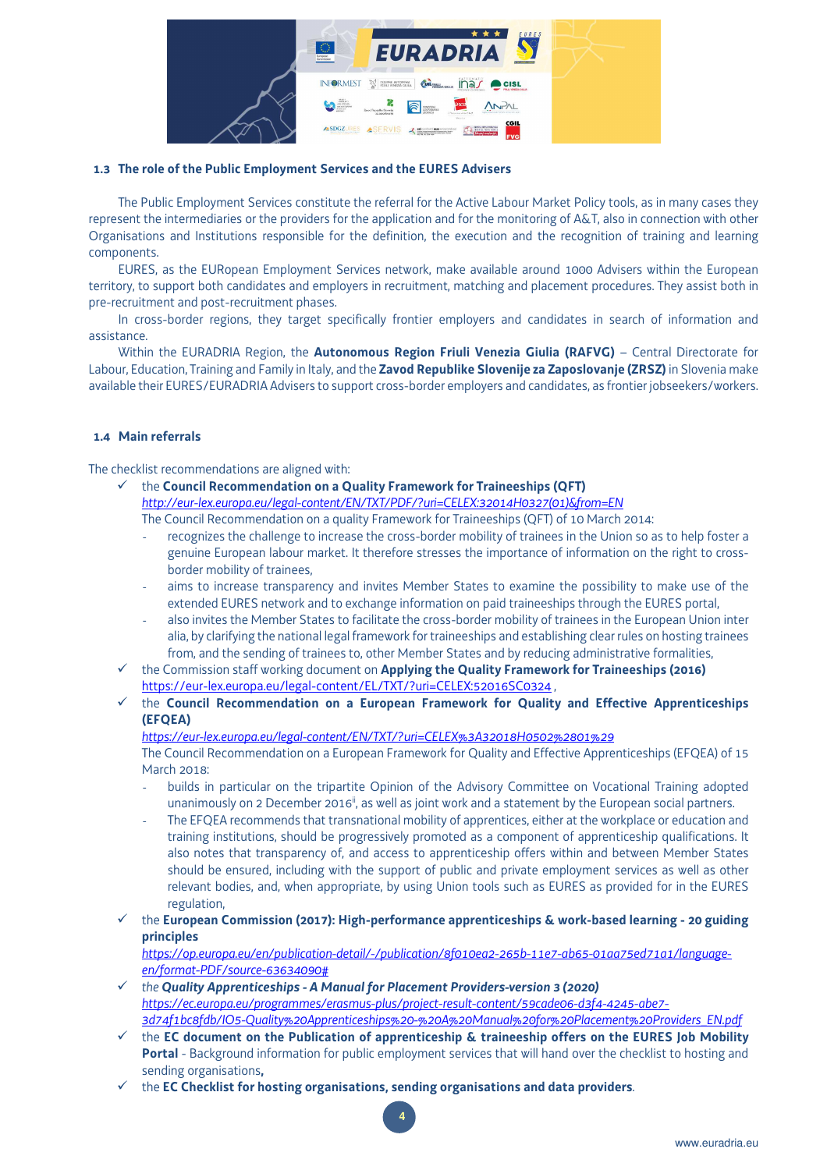

### **1.3 The role of the Public Employment Services and the EURES Advisers**

The Public Employment Services constitute the referral for the Active Labour Market Policy tools, as in many cases they represent the intermediaries or the providers for the application and for the monitoring of A&T, also in connection with other Organisations and Institutions responsible for the definition, the execution and the recognition of training and learning components.

EURES, as the EURopean Employment Services network, make available around 1000 Advisers within the European territory, to support both candidates and employers in recruitment, matching and placement procedures. They assist both in pre-recruitment and post-recruitment phases.

In cross-border regions, they target specifically frontier employers and candidates in search of information and assistance.

Within the EURADRIA Region, the **Autonomous Region Friuli Venezia Giulia (RAFVG)** – Central Directorate for Labour, Education, Training and Family in Italy, and the **Zavod Republike Slovenije za Zaposlovanje (ZRSZ)** in Slovenia make available their EURES/EURADRIA Advisers to support cross-border employers and candidates, as frontier jobseekers/workers.

# **1.4 Main referrals**

The checklist recommendations are aligned with:

- the **Council Recommendation on a Quality Framework for Traineeships (QFT)** *http://eur-lex.europa.eu/legal-content/EN/TXT/PDF/?uri=CELEX:32014H0327(01)&from=EN*  The Council Recommendation on a quality Framework for Traineeships (QFT) of 10 March 2014:
	- recognizes the challenge to increase the cross-border mobility of trainees in the Union so as to help foster a genuine European labour market. It therefore stresses the importance of information on the right to crossborder mobility of trainees,
	- aims to increase transparency and invites Member States to examine the possibility to make use of the extended EURES network and to exchange information on paid traineeships through the EURES portal,
	- also invites the Member States to facilitate the cross-border mobility of trainees in the European Union inter alia, by clarifying the national legal framework for traineeships and establishing clear rules on hosting trainees from, and the sending of trainees to, other Member States and by reducing administrative formalities,
- the Commission staff working document on **Applying the Quality Framework for Traineeships (2016)** https://eur-lex.europa.eu/legal-content/EL/TXT/?uri=CELEX:52016SC0324,
- the **Council Recommendation on a European Framework for Quality and Effective Apprenticeships (EFQEA)**

*https://eur-lex.europa.eu/legal-content/EN/TXT/?uri=CELEX%3A32018H0502%2801%29* 

The Council Recommendation on a European Framework for Quality and Effective Apprenticeships (EFQEA) of 15 March 2018:

- builds in particular on the tripartite Opinion of the Advisory Committee on Vocational Training adopted unanimously on 2 December 2016<sup>ii</sup>, as well as joint work and a statement by the European social partners.
- The EFQEA recommends that transnational mobility of apprentices, either at the workplace or education and training institutions, should be progressively promoted as a component of apprenticeship qualifications. It also notes that transparency of, and access to apprenticeship offers within and between Member States should be ensured, including with the support of public and private employment services as well as other relevant bodies, and, when appropriate, by using Union tools such as EURES as provided for in the EURES regulation,
- the **European Commission (2017): High-performance apprenticeships & work-based learning 20 guiding principles**

*https://op.europa.eu/en/publication-detail/-/publication/8f010ea2-265b-11e7-ab65-01aa75ed71a1/languageen/format-PDF/source-63634090#*

- *the Quality Apprenticeships A Manual for Placement Providers-version 3 (2020) https://ec.europa.eu/programmes/erasmus-plus/project-result-content/59cade06-d3f4-4245-abe7- 3d74f1bc8fdb/IO5-Quality%20Apprenticeships%20-%20A%20Manual%20for%20Placement%20Providers\_EN.pdf*
- the **EC document on the Publication of apprenticeship & traineeship offers on the EURES Job Mobility Portal** - Background information for public employment services that will hand over the checklist to hosting and sending organisations**,**
- the **EC Checklist for hosting organisations, sending organisations and data providers***.* 
	- **4**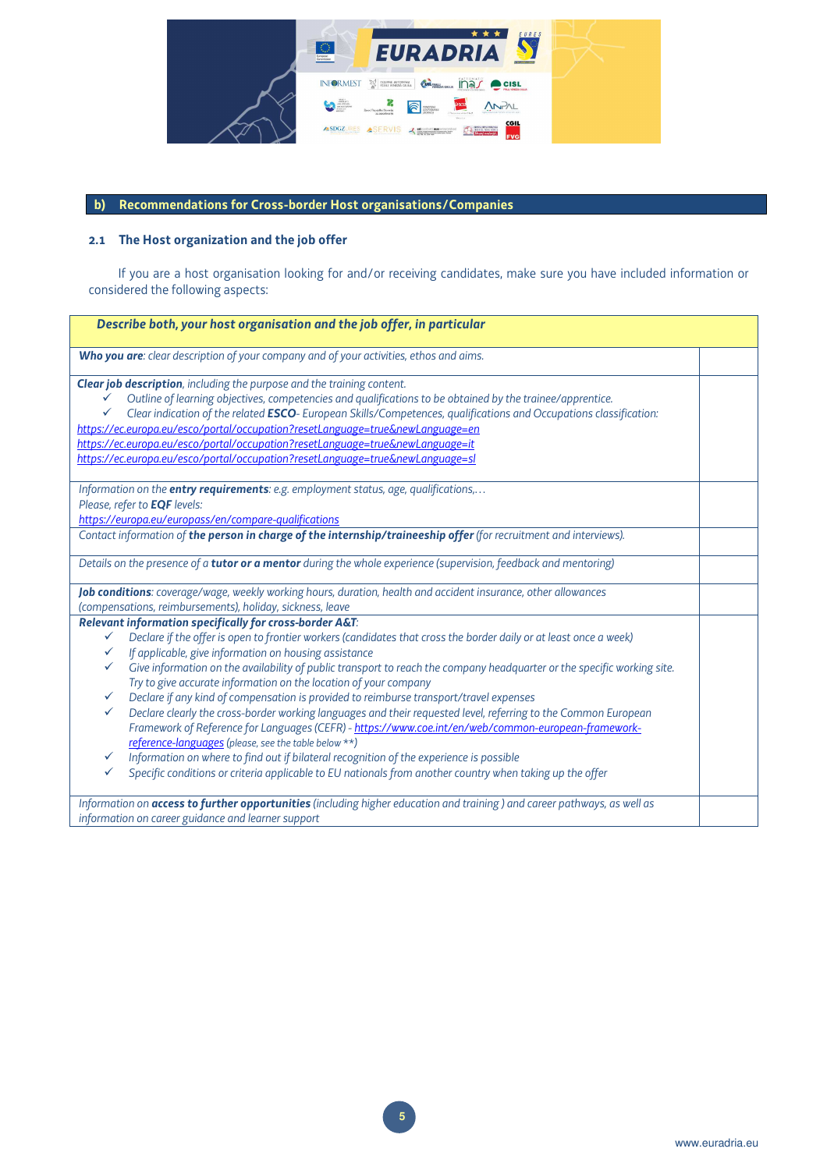

# **b) Recommendations for Cross-border Host organisations/Companies**

# **2.1 The Host organization and the job offer**

If you are a host organisation looking for and/or receiving candidates, make sure you have included information or considered the following aspects:

| Describe both, your host organisation and the job offer, in particular                                                                                                                                                                                                                                   |  |
|----------------------------------------------------------------------------------------------------------------------------------------------------------------------------------------------------------------------------------------------------------------------------------------------------------|--|
| Who you are: clear description of your company and of your activities, ethos and aims.                                                                                                                                                                                                                   |  |
| Clear job description, including the purpose and the training content.<br>Outline of learning objectives, competencies and qualifications to be obtained by the trainee/apprentice.<br>Clear indication of the related ESCO- European Skills/Competences, qualifications and Occupations classification: |  |
| https://ec.europa.eu/esco/portal/occupation?resetLanguage=true&newLanguage=en                                                                                                                                                                                                                            |  |
| https://ec.europa.eu/esco/portal/occupation?resetLanguage=true&newLanguage=it<br>https://ec.europa.eu/esco/portal/occupation?resetLanguage=true&newLanguage=sl                                                                                                                                           |  |
| Information on the entry requirements: e.g. employment status, age, qualifications,<br>Please, refer to EQF levels:<br>https://europa.eu/europass/en/compare-qualifications                                                                                                                              |  |
| Contact information of the person in charge of the internship/traineeship offer (for recruitment and interviews).                                                                                                                                                                                        |  |
| Details on the presence of a tutor or a mentor during the whole experience (supervision, feedback and mentoring)                                                                                                                                                                                         |  |
| Job conditions: coverage/wage, weekly working hours, duration, health and accident insurance, other allowances<br>(compensations, reimbursements), holiday, sickness, leave                                                                                                                              |  |
| Relevant information specifically for cross-border A&T:<br>Declare if the offer is open to frontier workers (candidates that cross the border daily or at least once a week)                                                                                                                             |  |
| If applicable, give information on housing assistance                                                                                                                                                                                                                                                    |  |
| Give information on the availability of public transport to reach the company headquarter or the specific working site.<br>✓<br>Try to give accurate information on the location of your company                                                                                                         |  |
| Declare if any kind of compensation is provided to reimburse transport/travel expenses<br>✓<br>Declare clearly the cross-border working languages and their requested level, referring to the Common European<br>✓                                                                                       |  |
| Framework of Reference for Languages (CEFR) - https://www.coe.int/en/web/common-european-framework-<br>reference-languages (please, see the table below **)                                                                                                                                              |  |
| Information on where to find out if bilateral recognition of the experience is possible<br>✓<br>Specific conditions or criteria applicable to EU nationals from another country when taking up the offer<br>✓                                                                                            |  |
| Information on access to further opportunities (including higher education and training) and career pathways, as well as                                                                                                                                                                                 |  |
| information on career guidance and learner support                                                                                                                                                                                                                                                       |  |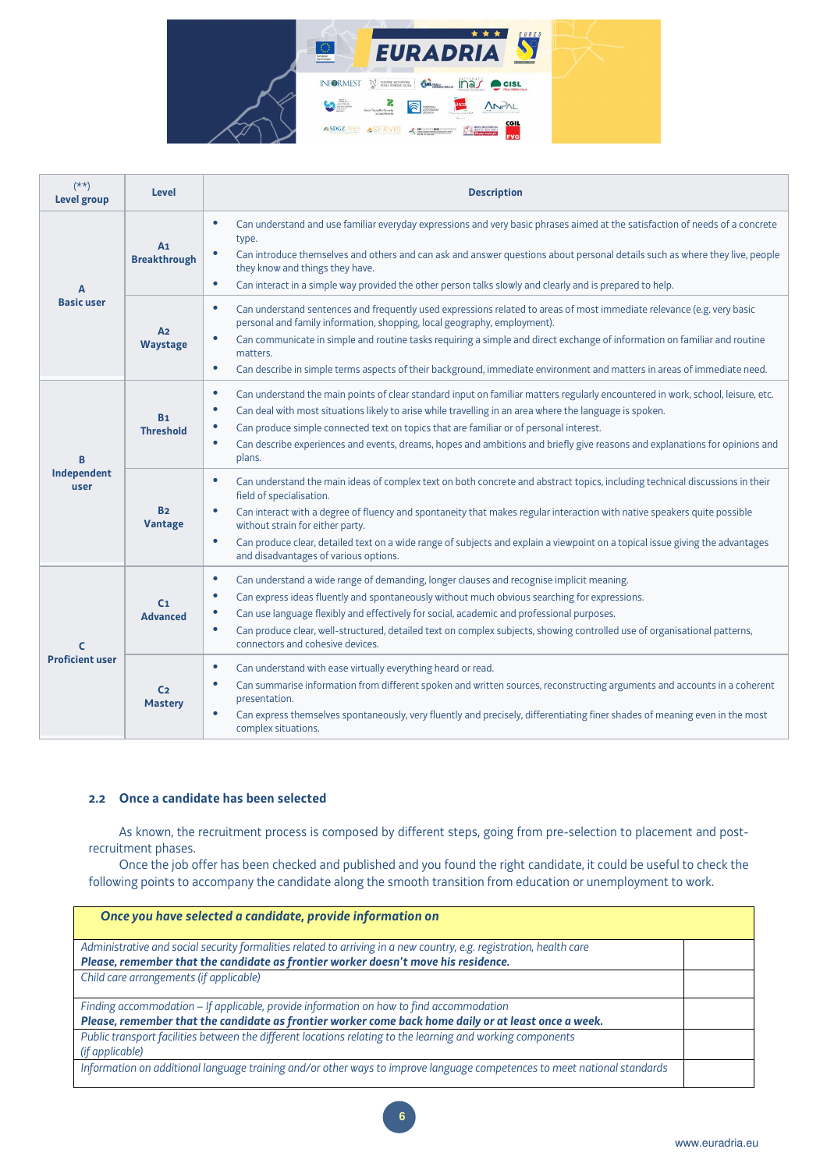

| $(**)$<br><b>Level group</b> | Level                                 | <b>Description</b>                                                                                                                                                                                                                                                                                                                                                                                                                                                                                                                        |
|------------------------------|---------------------------------------|-------------------------------------------------------------------------------------------------------------------------------------------------------------------------------------------------------------------------------------------------------------------------------------------------------------------------------------------------------------------------------------------------------------------------------------------------------------------------------------------------------------------------------------------|
| Δ<br><b>Basic user</b>       | A <sub>1</sub><br><b>Breakthrough</b> | Can understand and use familiar everyday expressions and very basic phrases aimed at the satisfaction of needs of a concrete<br>$\bullet$<br>type.<br>Can introduce themselves and others and can ask and answer questions about personal details such as where they live, people<br>$\bullet$<br>they know and things they have.<br>Can interact in a simple way provided the other person talks slowly and clearly and is prepared to help.<br>$\bullet$                                                                                |
|                              | A <sub>2</sub><br>Waystage            | Can understand sentences and frequently used expressions related to areas of most immediate relevance (e.g. very basic<br>$\bullet$<br>personal and family information, shopping, local geography, employment).<br>Can communicate in simple and routine tasks requiring a simple and direct exchange of information on familiar and routine<br>$\bullet$<br>matters.<br>Can describe in simple terms aspects of their background, immediate environment and matters in areas of immediate need.<br>$\bullet$                             |
| B<br>Independent<br>user     | <b>B1</b><br><b>Threshold</b>         | Can understand the main points of clear standard input on familiar matters regularly encountered in work, school, leisure, etc.<br>$\bullet$<br>Can deal with most situations likely to arise while travelling in an area where the language is spoken.<br>$\bullet$<br>Can produce simple connected text on topics that are familiar or of personal interest.<br>$\bullet$<br>Can describe experiences and events, dreams, hopes and ambitions and briefly give reasons and explanations for opinions and<br>$\bullet$<br>plans.         |
|                              | B <sub>2</sub><br>Vantage             | Can understand the main ideas of complex text on both concrete and abstract topics, including technical discussions in their<br>$\bullet$<br>field of specialisation.<br>$\bullet$<br>Can interact with a degree of fluency and spontaneity that makes regular interaction with native speakers quite possible<br>without strain for either party.<br>Can produce clear, detailed text on a wide range of subjects and explain a viewpoint on a topical issue giving the advantages<br>$\bullet$<br>and disadvantages of various options. |
| <b>Proficient user</b>       | C <sub>1</sub><br><b>Advanced</b>     | Can understand a wide range of demanding, longer clauses and recognise implicit meaning.<br>$\bullet$<br>Can express ideas fluently and spontaneously without much obvious searching for expressions.<br>$\bullet$<br>Can use language flexibly and effectively for social, academic and professional purposes.<br>$\bullet$<br>Can produce clear, well-structured, detailed text on complex subjects, showing controlled use of organisational patterns,<br>$\bullet$<br>connectors and cohesive devices.                                |
|                              | C <sub>2</sub><br><b>Mastery</b>      | Can understand with ease virtually everything heard or read.<br>$\bullet$<br>Can summarise information from different spoken and written sources, reconstructing arguments and accounts in a coherent<br>$\bullet$<br>presentation.<br>Can express themselves spontaneously, very fluently and precisely, differentiating finer shades of meaning even in the most<br>$\bullet$<br>complex situations.                                                                                                                                    |

### **2.2 Once a candidate has been selected**

 As known, the recruitment process is composed by different steps, going from pre-selection to placement and postrecruitment phases.

Once the job offer has been checked and published and you found the right candidate, it could be useful to check the following points to accompany the candidate along the smooth transition from education or unemployment to work.

| Once you have selected a candidate, provide information on                                                               |  |
|--------------------------------------------------------------------------------------------------------------------------|--|
| Administrative and social security formalities related to arriving in a new country, e.g. registration, health care      |  |
| Please, remember that the candidate as frontier worker doesn't move his residence.                                       |  |
| Child care arrangements (if applicable)                                                                                  |  |
| Finding accommodation - If applicable, provide information on how to find accommodation                                  |  |
| Please, remember that the candidate as frontier worker come back home daily or at least once a week.                     |  |
| Public transport facilities between the different locations relating to the learning and working components              |  |
| (if applicable)                                                                                                          |  |
| Information on additional language training and/or other ways to improve language competences to meet national standards |  |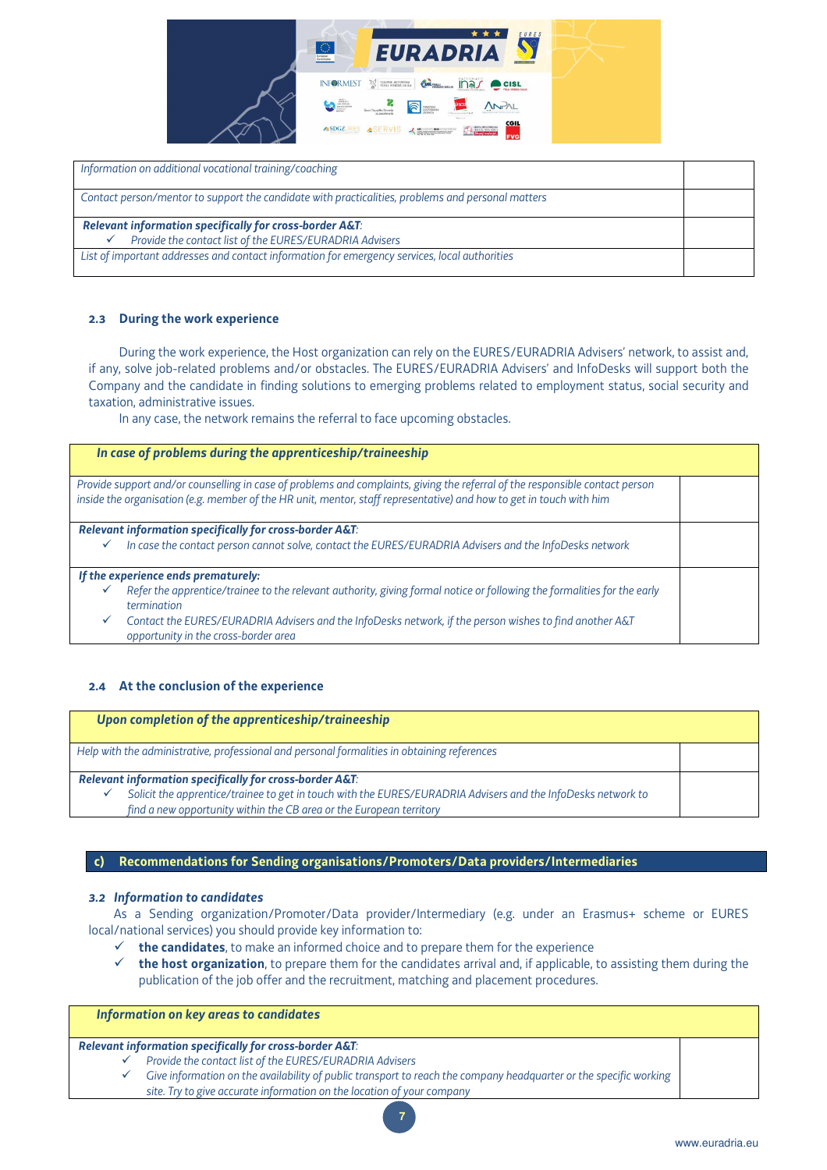

| Information on additional vocational training/coaching                                            |  |
|---------------------------------------------------------------------------------------------------|--|
| Contact person/mentor to support the candidate with practicalities, problems and personal matters |  |
| Relevant information specifically for cross-border A&T:                                           |  |
| Provide the contact list of the EURES/EURADRIA Advisers<br>$\checkmark$                           |  |
| List of important addresses and contact information for emergency services, local authorities     |  |

### **2.3 During the work experience**

 During the work experience, the Host organization can rely on the EURES/EURADRIA Advisers' network, to assist and, if any, solve job-related problems and/or obstacles. The EURES/EURADRIA Advisers' and InfoDesks will support both the Company and the candidate in finding solutions to emerging problems related to employment status, social security and taxation, administrative issues.

In any case, the network remains the referral to face upcoming obstacles.

# *In case of problems during the apprenticeship/traineeship Provide support and/or counselling in case of problems and complaints, giving the referral of the responsible contact person inside the organisation (e.g. member of the HR unit, mentor, staff representative) and how to get in touch with him Relevant information specifically for cross-border A&T: In case the contact person cannot solve, contact the EURES/EURADRIA Advisers and the InfoDesks network If the experience ends prematurely: Refer the apprentice/trainee to the relevant authority, giving formal notice or following the formalities for the early termination Contact the EURES/EURADRIA Advisers and the InfoDesks network, if the person wishes to find another A&T opportunity in the cross-border area*

### **2.4 At the conclusion of the experience**

| Upon completion of the apprenticeship/traineeship                                                                                                                                                                                                         |  |
|-----------------------------------------------------------------------------------------------------------------------------------------------------------------------------------------------------------------------------------------------------------|--|
| Help with the administrative, professional and personal formalities in obtaining references                                                                                                                                                               |  |
| <b>Relevant information specifically for cross-border A&amp;T:</b><br>Solicit the apprentice/trainee to get in touch with the EURES/EURADRIA Advisers and the InfoDesks network to<br>find a new opportunity within the CB area or the European territory |  |

### **c) Recommendations for Sending organisations/Promoters/Data providers/Intermediaries**

#### *3.2 Information to candidates*

As a Sending organization/Promoter/Data provider/Intermediary (e.g. under an Erasmus+ scheme or EURES local/national services) you should provide key information to:

- $\checkmark$  the candidates, to make an informed choice and to prepare them for the experience
- **the host organization**, to prepare them for the candidates arrival and, if applicable, to assisting them during the publication of the job offer and the recruitment, matching and placement procedures.

# *Information on key areas to candidates*

# *Relevant information specifically for cross-border A&T:*

- *Provide the contact list of the EURES/EURADRIA Advisers* 
	- *Give information on the availability of public transport to reach the company headquarter or the specific working site. Try to give accurate information on the location of your company* 
		- **7**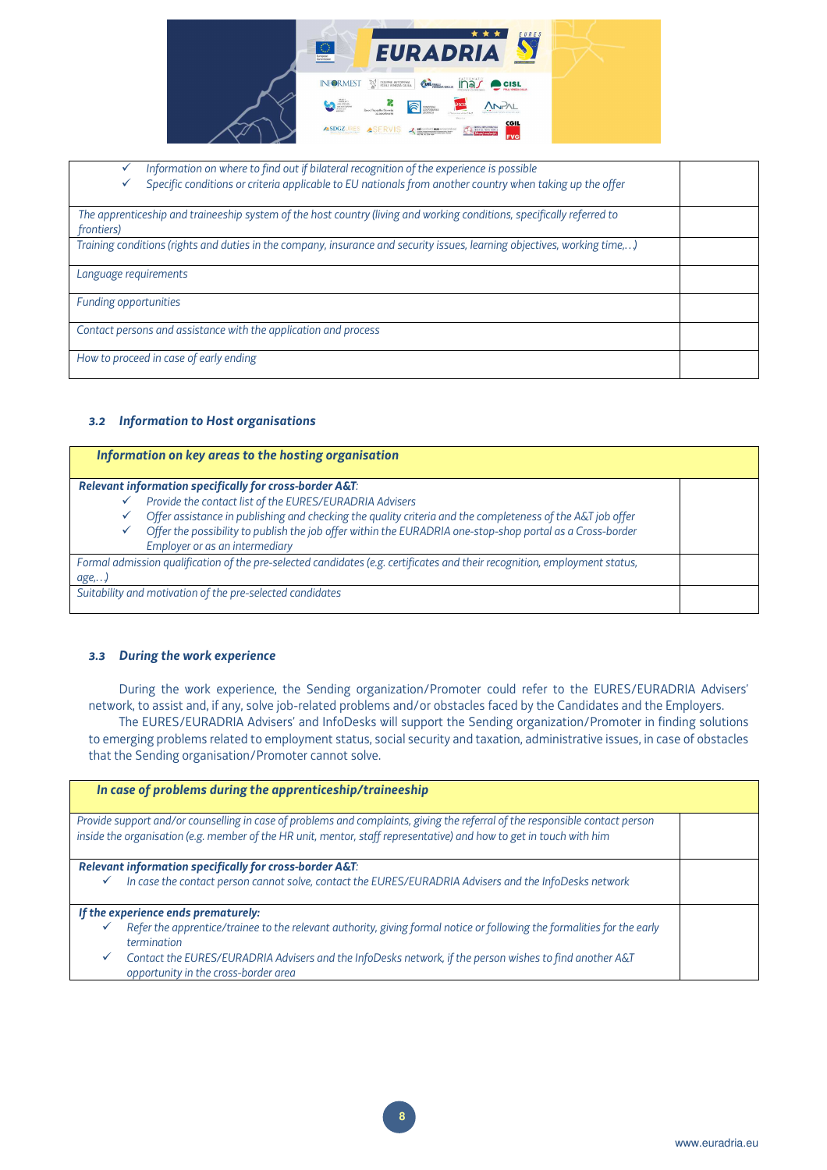

| Information on where to find out if bilateral recognition of the experience is possible                                   |  |
|---------------------------------------------------------------------------------------------------------------------------|--|
| Specific conditions or criteria applicable to EU nationals from another country when taking up the offer                  |  |
|                                                                                                                           |  |
| The apprenticeship and traineeship system of the host country (living and working conditions, specifically referred to    |  |
| frontiers)                                                                                                                |  |
| Training conditions (rights and duties in the company, insurance and security issues, learning objectives, working time,) |  |
|                                                                                                                           |  |
| Language requirements                                                                                                     |  |
|                                                                                                                           |  |
| <b>Funding opportunities</b>                                                                                              |  |
|                                                                                                                           |  |
| Contact persons and assistance with the application and process                                                           |  |
|                                                                                                                           |  |
| How to proceed in case of early ending                                                                                    |  |
|                                                                                                                           |  |

### *3.2 Information to Host organisations*

| Information on key areas to the hosting organisation                                                                                                                                                                                                                                                                                                                            |  |  |
|---------------------------------------------------------------------------------------------------------------------------------------------------------------------------------------------------------------------------------------------------------------------------------------------------------------------------------------------------------------------------------|--|--|
| Relevant information specifically for cross-border A&T:<br>Provide the contact list of the EURES/EURADRIA Advisers<br>Offer assistance in publishing and checking the quality criteria and the completeness of the A&T job offer<br>Offer the possibility to publish the job offer within the EURADRIA one-stop-shop portal as a Cross-border<br>Employer or as an intermediary |  |  |
| Formal admission qualification of the pre-selected candidates (e.g. certificates and their recognition, employment status,<br>age                                                                                                                                                                                                                                               |  |  |
| Suitability and motivation of the pre-selected candidates                                                                                                                                                                                                                                                                                                                       |  |  |

### *3.3 During the work experience*

During the work experience, the Sending organization/Promoter could refer to the EURES/EURADRIA Advisers' network, to assist and, if any, solve job-related problems and/or obstacles faced by the Candidates and the Employers.

The EURES/EURADRIA Advisers' and InfoDesks will support the Sending organization/Promoter in finding solutions to emerging problems related to employment status, social security and taxation, administrative issues, in case of obstacles that the Sending organisation/Promoter cannot solve.

| In case of problems during the apprenticeship/traineeship                                                                                                                                                                                           |  |
|-----------------------------------------------------------------------------------------------------------------------------------------------------------------------------------------------------------------------------------------------------|--|
| Provide support and/or counselling in case of problems and complaints, giving the referral of the responsible contact person<br>inside the organisation (e.g. member of the HR unit, mentor, staff representative) and how to get in touch with him |  |
| Relevant information specifically for cross-border A&T:                                                                                                                                                                                             |  |
| In case the contact person cannot solve, contact the EURES/EURADRIA Advisers and the InfoDesks network<br>$\checkmark$                                                                                                                              |  |
| If the experience ends prematurely:                                                                                                                                                                                                                 |  |
| Refer the apprentice/trainee to the relevant authority, giving formal notice or following the formalities for the early<br>✓<br>termination                                                                                                         |  |
| Contact the EURES/EURADRIA Advisers and the InfoDesks network, if the person wishes to find another A&T<br>$\checkmark$<br>opportunity in the cross-border area                                                                                     |  |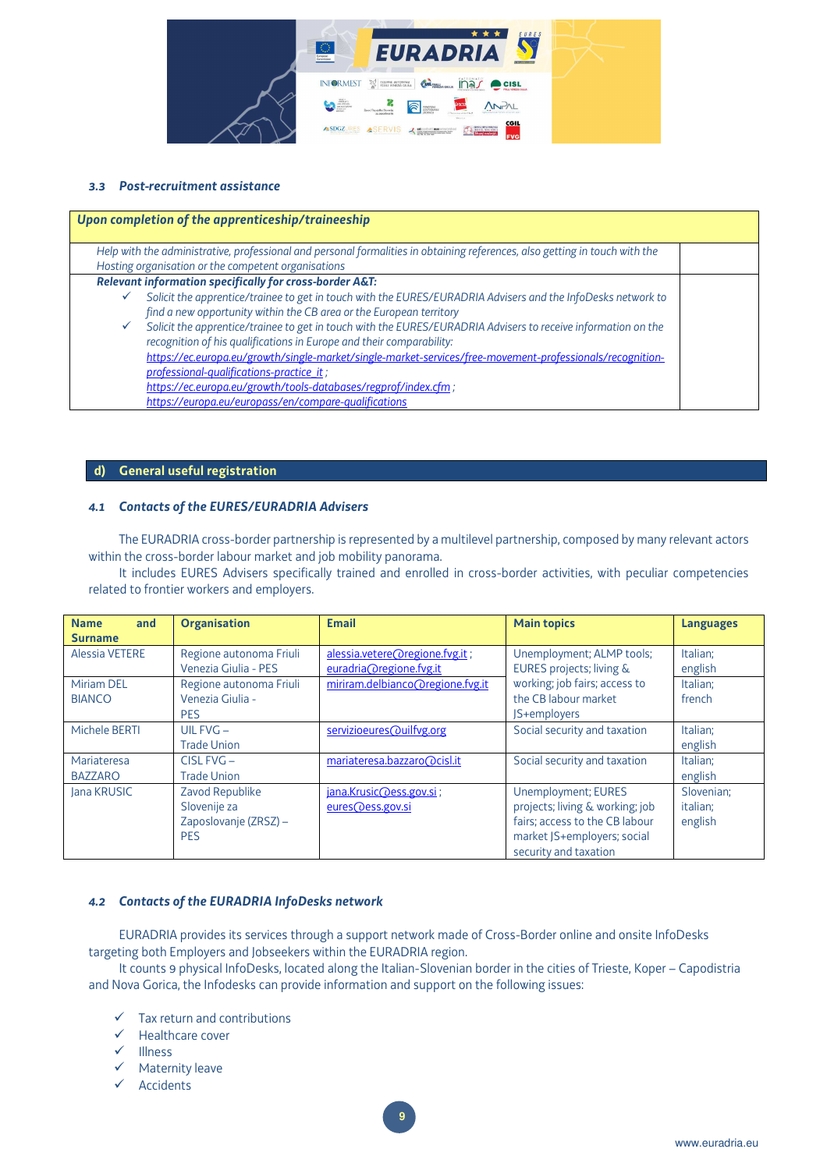

#### *3.3 Post-recruitment assistance*

| Upon completion of the apprenticeship/traineeship                                                                           |  |
|-----------------------------------------------------------------------------------------------------------------------------|--|
| Help with the administrative, professional and personal formalities in obtaining references, also getting in touch with the |  |
| Hosting organisation or the competent organisations                                                                         |  |
| Relevant information specifically for cross-border A&T:                                                                     |  |
| Solicit the apprentice/trainee to get in touch with the EURES/EURADRIA Advisers and the InfoDesks network to                |  |
| find a new opportunity within the CB area or the European territory                                                         |  |
| Solicit the apprentice/trainee to get in touch with the EURES/EURADRIA Advisers to receive information on the<br>✓          |  |
| recognition of his qualifications in Europe and their comparability:                                                        |  |
| https://ec.europa.eu/growth/single-market/single-market-services/free-movement-professionals/recognition-                   |  |
| professional-qualifications-practice it;                                                                                    |  |
| https://ec.europa.eu/growth/tools-databases/regprof/index.cfm;                                                              |  |
| https://europa.eu/europass/en/compare-qualifications                                                                        |  |

### **d) General useful registration**

### *4.1 Contacts of the EURES/EURADRIA Advisers*

 The EURADRIA cross-border partnership is represented by a multilevel partnership, composed by many relevant actors within the cross-border labour market and job mobility panorama.

 It includes EURES Advisers specifically trained and enrolled in cross-border activities, with peculiar competencies related to frontier workers and employers.

| <b>Name</b><br>and<br><b>Surname</b>                                                         | <b>Organisation</b>                                                                           | <b>Email</b>                                               | <b>Main topics</b>                                                                                                                                      | <b>Languages</b>                  |
|----------------------------------------------------------------------------------------------|-----------------------------------------------------------------------------------------------|------------------------------------------------------------|---------------------------------------------------------------------------------------------------------------------------------------------------------|-----------------------------------|
| <b>Alessia VETERE</b>                                                                        | Regione autonoma Friuli<br>Venezia Giulia - PES                                               | alessia.vetere@regione.fvg.it;<br>euradria Oregione.fvg.it | Unemployment; ALMP tools;<br>EURES projects; living &                                                                                                   | Italian;<br>english               |
| <b>Miriam DEL</b><br><b>BIANCO</b>                                                           | miriram.delbianco@regione.fvg.it<br>Regione autonoma Friuli<br>Venezia Giulia -<br><b>PES</b> |                                                            | working; job fairs; access to<br>the CB labour market<br>JS+employers                                                                                   | Italian:<br>french                |
| UIL $FVG -$<br>Michele BERTI<br><b>Trade Union</b>                                           |                                                                                               | servizioeures Quilfvg.org                                  | Social security and taxation                                                                                                                            | Italian;<br>english               |
| Mariateresa<br>$CISL FVG -$<br><b>Trade Union</b><br><b>BAZZARO</b>                          |                                                                                               | mariateresa.bazzaro@cisl.it                                | Social security and taxation                                                                                                                            | Italian;<br>english               |
| Zavod Republike<br><b>Jana KRUSIC</b><br>Slovenije za<br>Zaposlovanje (ZRSZ) –<br><b>PES</b> |                                                                                               | jana.Krusic@ess.gov.si;<br>eures <i>Oess</i> gov.si        | <b>Unemployment; EURES</b><br>projects; living & working; job<br>fairs; access to the CB labour<br>market JS+employers; social<br>security and taxation | Slovenian:<br>italian;<br>english |

### *4.2 Contacts of the EURADRIA InfoDesks network*

 EURADRIA provides its services through a support network made of Cross-Border online and onsite InfoDesks targeting both Employers and Jobseekers within the EURADRIA region.

 It counts 9 physical InfoDesks, located along the Italian-Slovenian border in the cities of Trieste, Koper – Capodistria and Nova Gorica, the Infodesks can provide information and support on the following issues:

- $\checkmark$  Tax return and contributions
- $\checkmark$  Healthcare cover
- v Illness
- Maternity leave
- Accidents